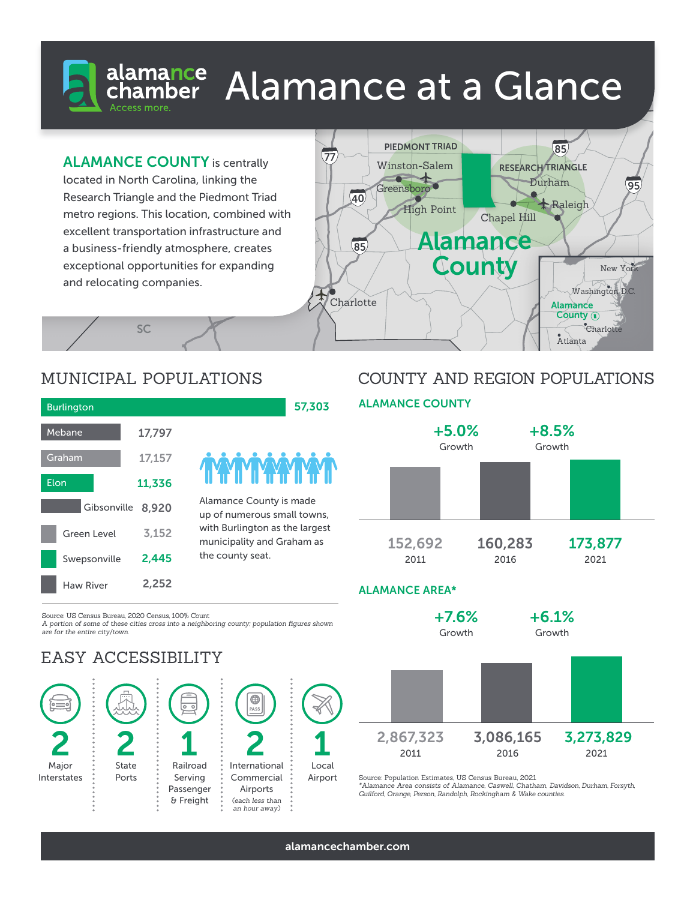# Alamance at a Glance

**ALAMANCE COUNTY** is centrally

located in North Carolina, linking the Research Triangle and the Piedmont Triad metro regions. This location, combined with excellent transportation infrastructure and a business-friendly atmosphere, creates exceptional opportunities for expanding and relocating companies.



# MUNICIPAL POPULATIONS

**SC** 

| <b>Burlington</b>  |                   |        |
|--------------------|-------------------|--------|
| Mebane             |                   | 17,797 |
| Graham             |                   | 17,157 |
| Elon               |                   | 11,336 |
|                    | Gibsonville 8,920 |        |
| <b>Green Level</b> |                   | 3,152  |
|                    | Swepsonville      |        |
| <b>Haw River</b>   |                   | 2,252  |



57,303

Alamance County is made up of numerous small towns, with Burlington as the largest municipality and Graham as the county seat.

## COUNTY AND REGION POPULATIONS

### ALAMANCE COUNTY +8.5% Growth +5.0% Growth 160,283 2016 152,692 2011 173,877 2021

Source: US Census Bureau, 2020 Census, 100% Count

*A portion of some of these cities cross into a neighboring county; population figures shown are for the entire city/town.*

## EASY ACCESSIBILITY



## ALAMANCE AREA\*



Source: Population Estimates, US Census Bureau, 2021

*\*Alamance Area consists of Alamance, Caswell, Chatham, Davidson, Durham, Forsyth, Guilford, Orange, Person, Randolph, Rockingham & Wake counties.*

alamancechamber.com